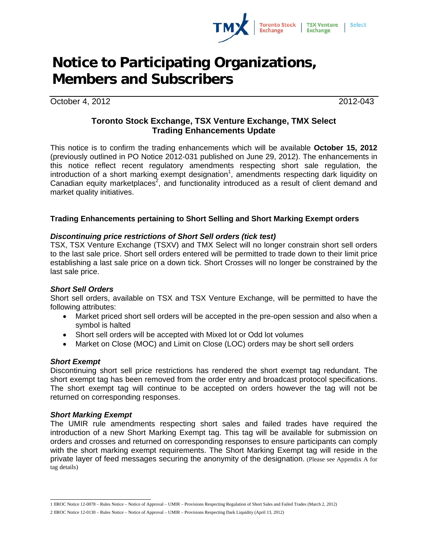

# **Notice to Participating Organizations, Members and Subscribers**

October 4, 2012 2012-043

# **Toronto Stock Exchange, TSX Venture Exchange, TMX Select Trading Enhancements Update**

This notice is to confirm the trading enhancements which will be available **October 15, 2012**  (previously outlined in PO Notice 2012-031 published on June 29, 2012). The enhancements in this notice reflect recent regulatory amendments respecting short sale regulation, the introduction of a short marking exempt designation<sup>1</sup>, amendments respecting dark liquidity on Canadian equity marketplaces<sup>2</sup>, and functionality introduced as a result of client demand and market quality initiatives.

# **Trading Enhancements pertaining to Short Selling and Short Marking Exempt orders**

# *Discontinuing price restrictions of Short Sell orders (tick test)*

TSX, TSX Venture Exchange (TSXV) and TMX Select will no longer constrain short sell orders to the last sale price. Short sell orders entered will be permitted to trade down to their limit price establishing a last sale price on a down tick. Short Crosses will no longer be constrained by the last sale price.

# *Short Sell Orders*

Short sell orders, available on TSX and TSX Venture Exchange, will be permitted to have the following attributes:

- Market priced short sell orders will be accepted in the pre-open session and also when a symbol is halted
- Short sell orders will be accepted with Mixed lot or Odd lot volumes
- Market on Close (MOC) and Limit on Close (LOC) orders may be short sell orders

#### *Short Exempt*

Discontinuing short sell price restrictions has rendered the short exempt tag redundant. The short exempt tag has been removed from the order entry and broadcast protocol specifications. The short exempt tag will continue to be accepted on orders however the tag will not be returned on corresponding responses.

#### *Short Marking Exempt*

The UMIR rule amendments respecting short sales and failed trades have required the introduction of a new Short Marking Exempt tag. This tag will be available for submission on orders and crosses and returned on corresponding responses to ensure participants can comply with the short marking exempt requirements. The Short Marking Exempt tag will reside in the private layer of feed messages securing the anonymity of the designation. (Please see Appendix A for tag details)

 1 IIROC Notice 12-0078 – Rules Notice – Notice of Approval – UMIR – Provisions Respecting Regulation of Short Sales and Failed Trades (March 2, 2012)

<sup>2</sup> IIROC Notice 12-0130 – Rules Notice – Notice of Approval – UMIR – Provisions Respecting Dark Liquidity (April 13, 2012)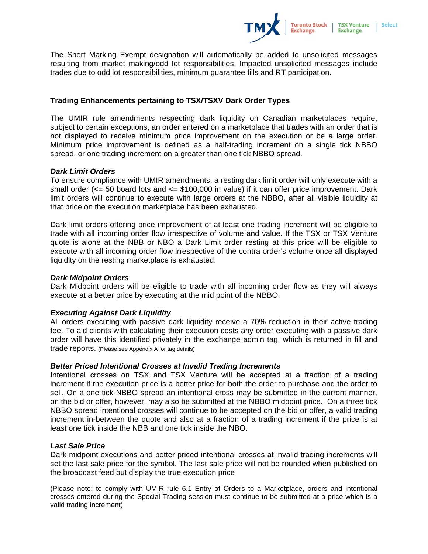

The Short Marking Exempt designation will automatically be added to unsolicited messages resulting from market making/odd lot responsibilities. Impacted unsolicited messages include trades due to odd lot responsibilities, minimum guarantee fills and RT participation.

### **Trading Enhancements pertaining to TSX/TSXV Dark Order Types**

The UMIR rule amendments respecting dark liquidity on Canadian marketplaces require, subject to certain exceptions, an order entered on a marketplace that trades with an order that is not displayed to receive minimum price improvement on the execution or be a large order. Minimum price improvement is defined as a half-trading increment on a single tick NBBO spread, or one trading increment on a greater than one tick NBBO spread.

#### *Dark Limit Orders*

To ensure compliance with UMIR amendments, a resting dark limit order will only execute with a small order ( $\leq$  50 board lots and  $\leq$  \$100,000 in value) if it can offer price improvement. Dark limit orders will continue to execute with large orders at the NBBO, after all visible liquidity at that price on the execution marketplace has been exhausted.

Dark limit orders offering price improvement of at least one trading increment will be eligible to trade with all incoming order flow irrespective of volume and value. If the TSX or TSX Venture quote is alone at the NBB or NBO a Dark Limit order resting at this price will be eligible to execute with all incoming order flow irrespective of the contra order's volume once all displayed liquidity on the resting marketplace is exhausted.

#### *Dark Midpoint Orders*

Dark Midpoint orders will be eligible to trade with all incoming order flow as they will always execute at a better price by executing at the mid point of the NBBO.

#### *Executing Against Dark Liquidity*

All orders executing with passive dark liquidity receive a 70% reduction in their active trading fee. To aid clients with calculating their execution costs any order executing with a passive dark order will have this identified privately in the exchange admin tag, which is returned in fill and trade reports. (Please see Appendix A for tag details)

#### *Better Priced Intentional Crosses at Invalid Trading Increments*

Intentional crosses on TSX and TSX Venture will be accepted at a fraction of a trading increment if the execution price is a better price for both the order to purchase and the order to sell. On a one tick NBBO spread an intentional cross may be submitted in the current manner, on the bid or offer, however, may also be submitted at the NBBO midpoint price. On a three tick NBBO spread intentional crosses will continue to be accepted on the bid or offer, a valid trading increment in-between the quote and also at a fraction of a trading increment if the price is at least one tick inside the NBB and one tick inside the NBO.

#### *Last Sale Price*

Dark midpoint executions and better priced intentional crosses at invalid trading increments will set the last sale price for the symbol. The last sale price will not be rounded when published on the broadcast feed but display the true execution price

(Please note: to comply with UMIR rule 6.1 Entry of Orders to a Marketplace, orders and intentional crosses entered during the Special Trading session must continue to be submitted at a price which is a valid trading increment)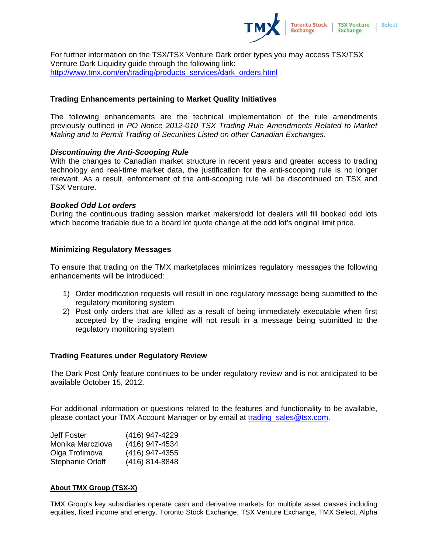

For further information on the TSX/TSX Venture Dark order types you may access TSX/TSX Venture Dark Liquidity guide through the following link: http://www.tmx.com/en/trading/products\_services/dark\_orders.html

#### **Trading Enhancements pertaining to Market Quality Initiatives**

The following enhancements are the technical implementation of the rule amendments previously outlined in *PO Notice 2012-010 TSX Trading Rule Amendments Related to Market Making and to Permit Trading of Securities Listed on other Canadian Exchanges*.

#### *Discontinuing the Anti-Scooping Rule*

With the changes to Canadian market structure in recent years and greater access to trading technology and real-time market data, the justification for the anti-scooping rule is no longer relevant. As a result, enforcement of the anti-scooping rule will be discontinued on TSX and TSX Venture.

#### *Booked Odd Lot orders*

During the continuous trading session market makers/odd lot dealers will fill booked odd lots which become tradable due to a board lot quote change at the odd lot's original limit price.

#### **Minimizing Regulatory Messages**

To ensure that trading on the TMX marketplaces minimizes regulatory messages the following enhancements will be introduced:

- 1) Order modification requests will result in one regulatory message being submitted to the regulatory monitoring system
- 2) Post only orders that are killed as a result of being immediately executable when first accepted by the trading engine will not result in a message being submitted to the regulatory monitoring system

#### **Trading Features under Regulatory Review**

The Dark Post Only feature continues to be under regulatory review and is not anticipated to be available October 15, 2012.

For additional information or questions related to the features and functionality to be available, please contact your TMX Account Manager or by email at trading\_sales@tsx.com.

| Jeff Foster             | (416) 947-4229 |
|-------------------------|----------------|
| Monika Marcziova        | (416) 947-4534 |
| Olga Trofimova          | (416) 947-4355 |
| <b>Stephanie Orloff</b> | (416) 814-8848 |

# **About TMX Group (TSX-X)**

TMX Group's key subsidiaries operate cash and derivative markets for multiple asset classes including equities, fixed income and energy. Toronto Stock Exchange, TSX Venture Exchange, TMX Select, Alpha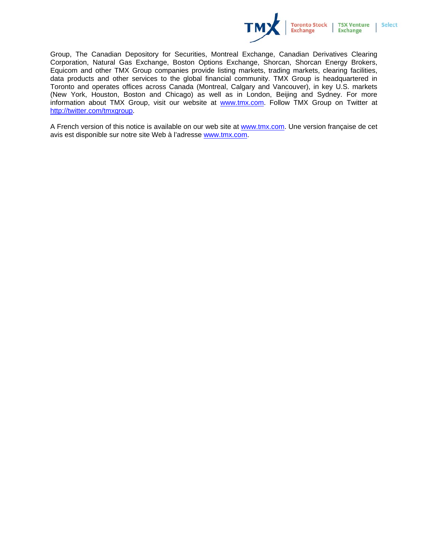

Group, The Canadian Depository for Securities, Montreal Exchange, Canadian Derivatives Clearing Corporation, Natural Gas Exchange, Boston Options Exchange, Shorcan, Shorcan Energy Brokers, Equicom and other TMX Group companies provide listing markets, trading markets, clearing facilities, data products and other services to the global financial community. TMX Group is headquartered in Toronto and operates offices across Canada (Montreal, Calgary and Vancouver), in key U.S. markets (New York, Houston, Boston and Chicago) as well as in London, Beijing and Sydney. For more information about TMX Group, visit our website at www.tmx.com. Follow TMX Group on Twitter at http://twitter.com/tmxgroup.

A French version of this notice is available on our web site at www.tmx.com. Une version française de cet avis est disponible sur notre site Web à l'adresse www.tmx.com.